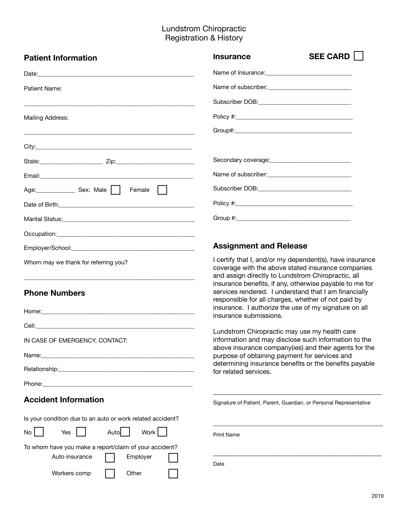## Lundstrom Chiropractic Registration & History

| <b>Patient Information</b>                                                                                                                        | SEE CARD    <br><b>Insurance</b>                                                                                                                                                                                                                                                                                                                |  |  |  |
|---------------------------------------------------------------------------------------------------------------------------------------------------|-------------------------------------------------------------------------------------------------------------------------------------------------------------------------------------------------------------------------------------------------------------------------------------------------------------------------------------------------|--|--|--|
|                                                                                                                                                   |                                                                                                                                                                                                                                                                                                                                                 |  |  |  |
| Patient Name:                                                                                                                                     | Name of subscriber:<br><u> </u>                                                                                                                                                                                                                                                                                                                 |  |  |  |
|                                                                                                                                                   |                                                                                                                                                                                                                                                                                                                                                 |  |  |  |
| Mailing Address:                                                                                                                                  |                                                                                                                                                                                                                                                                                                                                                 |  |  |  |
|                                                                                                                                                   |                                                                                                                                                                                                                                                                                                                                                 |  |  |  |
|                                                                                                                                                   |                                                                                                                                                                                                                                                                                                                                                 |  |  |  |
|                                                                                                                                                   |                                                                                                                                                                                                                                                                                                                                                 |  |  |  |
|                                                                                                                                                   | Name of subscriber:<br><u> </u>                                                                                                                                                                                                                                                                                                                 |  |  |  |
| Age: Sex: Male     Female                                                                                                                         |                                                                                                                                                                                                                                                                                                                                                 |  |  |  |
|                                                                                                                                                   |                                                                                                                                                                                                                                                                                                                                                 |  |  |  |
|                                                                                                                                                   |                                                                                                                                                                                                                                                                                                                                                 |  |  |  |
|                                                                                                                                                   |                                                                                                                                                                                                                                                                                                                                                 |  |  |  |
|                                                                                                                                                   | <b>Assignment and Release</b>                                                                                                                                                                                                                                                                                                                   |  |  |  |
| Whom may we thank for referring you?<br><b>Phone Numbers</b>                                                                                      | I certify that I, and/or my dependent(s), have insurance<br>coverage with the above stated insurance companies<br>and assign directly to Lundstrom Chiropractic, all<br>insurance benefits, if any, otherwise payable to me for<br>services rendered. I understand that I am financially<br>responsible for all charges, whether of not paid by |  |  |  |
|                                                                                                                                                   | insurance. I authorize the use of my signature on all<br>insurance submissions.                                                                                                                                                                                                                                                                 |  |  |  |
|                                                                                                                                                   | Lundstrom Chiropractic may use my health care                                                                                                                                                                                                                                                                                                   |  |  |  |
| IN CASE OF EMERGENCY, CONTACT:                                                                                                                    | information and may disclose such information to the<br>above insurance company(ies) and their agents for the                                                                                                                                                                                                                                   |  |  |  |
|                                                                                                                                                   | purpose of obtaining payment for services and                                                                                                                                                                                                                                                                                                   |  |  |  |
|                                                                                                                                                   | determining insurance benefits or the benefits payable<br>for related services.                                                                                                                                                                                                                                                                 |  |  |  |
|                                                                                                                                                   |                                                                                                                                                                                                                                                                                                                                                 |  |  |  |
| <b>Accident Information</b>                                                                                                                       | Signature of Patient, Parent, Guardian, or Personal Representative                                                                                                                                                                                                                                                                              |  |  |  |
| Is your condition due to an auto or work related accident?<br>Work<br>No<br>Yes<br>Auto<br>To whom have you make a report/claim of your accident? | <b>Print Name</b>                                                                                                                                                                                                                                                                                                                               |  |  |  |
| Auto insurance<br>Employer<br>Workers comp<br>Other                                                                                               | Date                                                                                                                                                                                                                                                                                                                                            |  |  |  |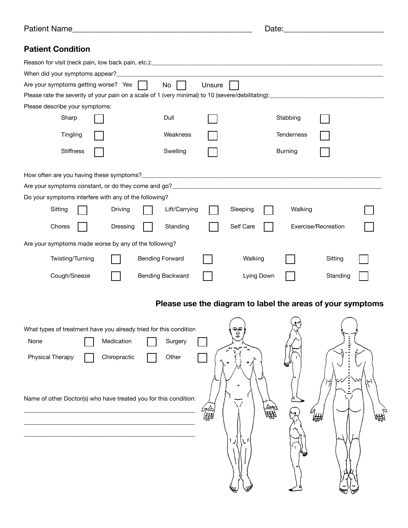| Dotic<br>Name<br>- 11 11 | --<br>--<br>____ |
|--------------------------|------------------|
|                          |                  |

| . പ<br>.,<br>Ja.<br>u. |  |
|------------------------|--|
|                        |  |

## **Patient Condition**

|                            | $No$                                                                                                                                                                      | Unsure                                                                                                                                                                                                                                                                                                       |           |            |            |                                                                                                                                                                 |
|----------------------------|---------------------------------------------------------------------------------------------------------------------------------------------------------------------------|--------------------------------------------------------------------------------------------------------------------------------------------------------------------------------------------------------------------------------------------------------------------------------------------------------------|-----------|------------|------------|-----------------------------------------------------------------------------------------------------------------------------------------------------------------|
|                            |                                                                                                                                                                           |                                                                                                                                                                                                                                                                                                              |           |            |            |                                                                                                                                                                 |
|                            |                                                                                                                                                                           |                                                                                                                                                                                                                                                                                                              |           |            |            |                                                                                                                                                                 |
|                            | Dull                                                                                                                                                                      |                                                                                                                                                                                                                                                                                                              |           | Stabbing   |            |                                                                                                                                                                 |
|                            | Weakness                                                                                                                                                                  |                                                                                                                                                                                                                                                                                                              |           | Tenderness |            |                                                                                                                                                                 |
|                            | Swelling                                                                                                                                                                  |                                                                                                                                                                                                                                                                                                              |           | Burning    |            |                                                                                                                                                                 |
|                            |                                                                                                                                                                           |                                                                                                                                                                                                                                                                                                              |           |            |            |                                                                                                                                                                 |
|                            |                                                                                                                                                                           |                                                                                                                                                                                                                                                                                                              |           |            |            |                                                                                                                                                                 |
|                            |                                                                                                                                                                           |                                                                                                                                                                                                                                                                                                              |           |            |            |                                                                                                                                                                 |
| Driving                    | Lift/Carrying                                                                                                                                                             |                                                                                                                                                                                                                                                                                                              | Sleeping  | Walking    |            |                                                                                                                                                                 |
| Dressing                   | Standing                                                                                                                                                                  |                                                                                                                                                                                                                                                                                                              | Self Care |            |            |                                                                                                                                                                 |
|                            |                                                                                                                                                                           |                                                                                                                                                                                                                                                                                                              |           |            |            |                                                                                                                                                                 |
|                            |                                                                                                                                                                           |                                                                                                                                                                                                                                                                                                              | Walking   |            | Sitting    |                                                                                                                                                                 |
|                            |                                                                                                                                                                           |                                                                                                                                                                                                                                                                                                              |           |            | Standing   |                                                                                                                                                                 |
|                            |                                                                                                                                                                           |                                                                                                                                                                                                                                                                                                              |           |            |            |                                                                                                                                                                 |
| Medication<br>Chiropractic | Surgery<br>Other                                                                                                                                                          |                                                                                                                                                                                                                                                                                                              | ర్మె      | ιщИ        |            |                                                                                                                                                                 |
|                            |                                                                                                                                                                           |                                                                                                                                                                                                                                                                                                              |           |            |            |                                                                                                                                                                 |
|                            | When did your symptoms appear?_<br>Are your symptoms getting worse? Yes<br>Please describe your symptoms:<br>How often are you having these symptoms?<br>Twisting/Turning | Do your symptoms interfere with any of the following?<br>Are your symptoms made worse by any of the following?<br><b>Bending Forward</b><br><b>Bending Backward</b><br>What types of treatment have you already tried for this condition<br>Name of other Doctor(s) who have treated you for this condition: |           |            | Lying Down | <u> 1980 - Jan Barnett, fransk politik (d. 1980)</u><br>Exercise/Recreation<br>Please use the diagram to label the areas of your symptoms<br>ย<br><del>เแ</del> |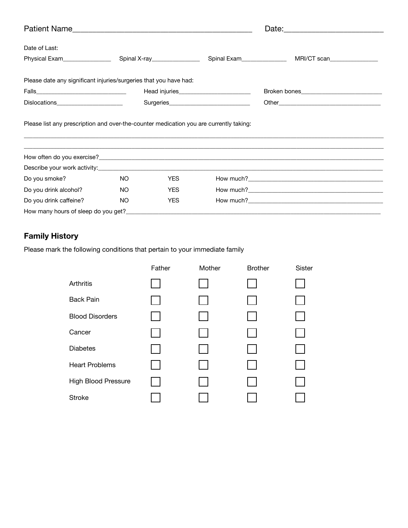| Date of Last:                                                     |                                                             |            |  |                                                                                  |
|-------------------------------------------------------------------|-------------------------------------------------------------|------------|--|----------------------------------------------------------------------------------|
| Physical Exam_______________                                      | Spinal X-ray_________________<br>Spinal Exam_______________ |            |  | MRI/CT scan                                                                      |
| Please date any significant injuries/surgeries that you have had: |                                                             |            |  |                                                                                  |
|                                                                   |                                                             |            |  |                                                                                  |
| Dislocations ______________________                               |                                                             |            |  |                                                                                  |
|                                                                   |                                                             |            |  | ,我们也不会有什么。""我们的人,我们也不会有什么?""我们的人,我们也不会有什么?""我们的人,我们也不会有什么?""我们的人,我们也不会有什么?""我们的人 |
|                                                                   |                                                             |            |  |                                                                                  |
|                                                                   |                                                             |            |  |                                                                                  |
| Do you smoke?                                                     | NO.                                                         | <b>YES</b> |  |                                                                                  |
| Do you drink alcohol?                                             | NO.                                                         | <b>YES</b> |  |                                                                                  |
| Do you drink caffeine?                                            | NO.<br><b>YES</b>                                           |            |  |                                                                                  |
| How many hours of sleep do you get?_                              |                                                             |            |  |                                                                                  |

## **Family History**

Please mark the following conditions that pertain to your immediate family

|                            | Father | Mother | <b>Brother</b> | <b>Sister</b> |
|----------------------------|--------|--------|----------------|---------------|
| Arthritis                  |        |        |                |               |
| <b>Back Pain</b>           |        |        |                |               |
| <b>Blood Disorders</b>     |        |        |                |               |
| Cancer                     |        |        |                |               |
| <b>Diabetes</b>            |        |        |                |               |
| <b>Heart Problems</b>      |        |        |                |               |
| <b>High Blood Pressure</b> |        |        |                |               |
| <b>Stroke</b>              |        |        |                |               |